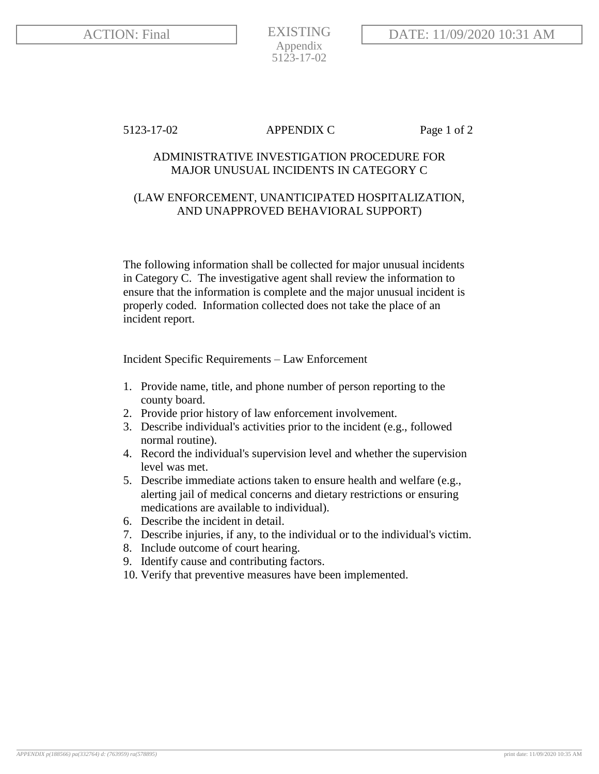EXISTING Appendix 5123-17-02

5123-17-02 APPENDIX C Page 1 of 2

## ADMINISTRATIVE INVESTIGATION PROCEDURE FOR MAJOR UNUSUAL INCIDENTS IN CATEGORY C

## (LAW ENFORCEMENT, UNANTICIPATED HOSPITALIZATION, AND UNAPPROVED BEHAVIORAL SUPPORT)

The following information shall be collected for major unusual incidents in Category C. The investigative agent shall review the information to ensure that the information is complete and the major unusual incident is properly coded. Information collected does not take the place of an incident report.

Incident Specific Requirements – Law Enforcement

- 1. Provide name, title, and phone number of person reporting to the county board.
- 2. Provide prior history of law enforcement involvement.
- 3. Describe individual's activities prior to the incident (e.g., followed normal routine).
- 4. Record the individual's supervision level and whether the supervision level was met.
- 5. Describe immediate actions taken to ensure health and welfare (e.g., alerting jail of medical concerns and dietary restrictions or ensuring medications are available to individual).
- 6. Describe the incident in detail.
- 7. Describe injuries, if any, to the individual or to the individual's victim.
- 8. Include outcome of court hearing.
- 9. Identify cause and contributing factors.
- 10. Verify that preventive measures have been implemented.